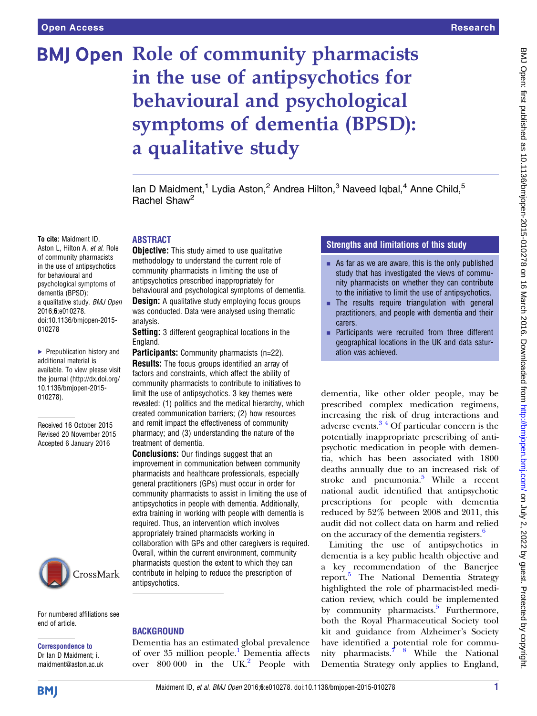# **BMJ Open Role of community pharmacists** in the use of antipsychotics for behavioural and psychological symptoms of dementia (BPSD): a qualitative study

Ian D Maidment,<sup>1</sup> Lydia Aston,<sup>2</sup> Andrea Hilton,<sup>3</sup> Naveed Iqbal,<sup>4</sup> Anne Child,<sup>5</sup> Rachel Shaw2

# ABSTRACT

**Objective:** This study aimed to use qualitative methodology to understand the current role of community pharmacists in limiting the use of antipsychotics prescribed inappropriately for behavioural and psychological symptoms of dementia. **Design:** A qualitative study employing focus groups was conducted. Data were analysed using thematic analysis.

**Setting:** 3 different geographical locations in the England.

**Participants:** Community pharmacists (n=22). **Results:** The focus groups identified an array of factors and constraints, which affect the ability of community pharmacists to contribute to initiatives to limit the use of antipsychotics. 3 key themes were revealed: (1) politics and the medical hierarchy, which created communication barriers; (2) how resources and remit impact the effectiveness of community pharmacy; and (3) understanding the nature of the treatment of dementia.

**Conclusions:** Our findings suggest that an improvement in communication between community pharmacists and healthcare professionals, especially general practitioners (GPs) must occur in order for community pharmacists to assist in limiting the use of antipsychotics in people with dementia. Additionally, extra training in working with people with dementia is required. Thus, an intervention which involves appropriately trained pharmacists working in collaboration with GPs and other caregivers is required. Overall, within the current environment, community pharmacists question the extent to which they can contribute in helping to reduce the prescription of antipsychotics.

#### of community pharmacists in the use of antipsychotics for behavioural and psychological symptoms of dementia (BPSD): a qualitative study. BMJ Open 2016;6:e010278. doi:10.1136/bmjopen-2015-

To cite: Maidment ID, Aston L, Hilton A, et al. Role

010278

▶ Prepublication history and additional material is available. To view please visit the journal [\(http://dx.doi.org/](http://dx.doi.org/10.1136/bmjopen-2015-010278) [10.1136/bmjopen-2015-](http://dx.doi.org/10.1136/bmjopen-2015-010278) [010278\)](http://dx.doi.org/10.1136/bmjopen-2015-010278).

Received 16 October 2015 Revised 20 November 2015 Accepted 6 January 2016



For numbered affiliations see end of article.

#### Correspondence to Dr Ian D Maidment; i. maidment@aston.ac.uk

BACKGROUND

Dementia has an estimated global prevalence of over 35 million people.<sup>[1](#page-4-0)</sup> Dementia affects over  $800000$  in the UK.<sup>[2](#page-4-0)</sup> People with

# Strengths and limitations of this study

- $\blacksquare$  As far as we are aware, this is the only published study that has investigated the views of community pharmacists on whether they can contribute to the initiative to limit the use of antipsychotics.
- $\blacksquare$  The results require triangulation with general practitioners, and people with dementia and their carers.
- $\blacksquare$  Participants were recruited from three different geographical locations in the UK and data saturation was achieved.

dementia, like other older people, may be prescribed complex medication regimens, increasing the risk of drug interactions and adverse events[.3 4](#page-4-0) Of particular concern is the potentially inappropriate prescribing of antipsychotic medication in people with dementia, which has been associated with 1800 deaths annually due to an increased risk of stroke and pneumonia.<sup>[5](#page-4-0)</sup> While a recent national audit identified that antipsychotic prescriptions for people with dementia reduced by 52% between 2008 and 2011, this audit did not collect data on harm and relied on the accuracy of the dementia registers.<sup>[6](#page-4-0)</sup>

Limiting the use of antipsychotics in dementia is a key public health objective and a key recommendation of the Banerjee report.[5](#page-4-0) The National Dementia Strategy highlighted the role of pharmacist-led medication review, which could be implemented by community pharmacists.<sup>[5](#page-4-0)</sup> Furthermore, both the Royal Pharmaceutical Society tool kit and guidance from Alzheimer's Society have identified a potential role for community pharmacists.[7 8](#page-5-0) While the National Dementia Strategy only applies to England,

**BMJ**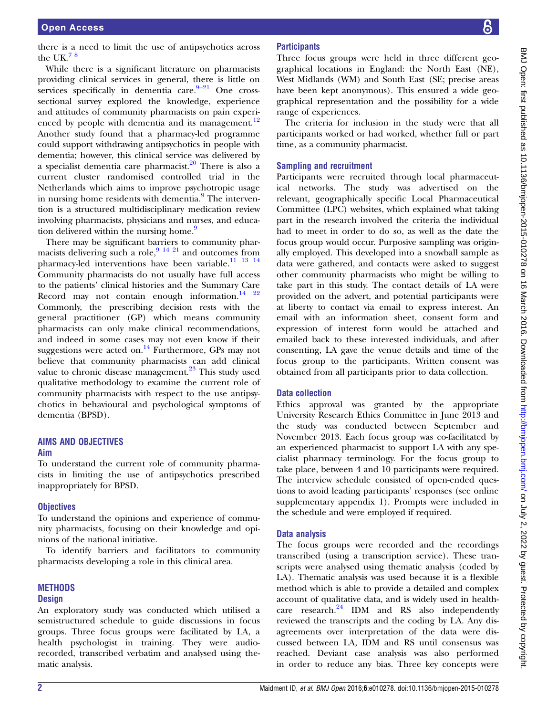there is a need to limit the use of antipsychotics across the UK. $78$ 

While there is a significant literature on pharmacists providing clinical services in general, there is little on services specifically in dementia care. $9-21$  $9-21$  One crosssectional survey explored the knowledge, experience and attitudes of community pharmacists on pain experi-enced by people with dementia and its management.<sup>[12](#page-5-0)</sup> Another study found that a pharmacy-led programme could support withdrawing antipsychotics in people with dementia; however, this clinical service was delivered by a specialist dementia care pharmacist. $20$  There is also a current cluster randomised controlled trial in the Netherlands which aims to improve psychotropic usage in nursing home residents with dementia.<sup>[9](#page-5-0)</sup> The intervention is a structured multidisciplinary medication review involving pharmacists, physicians and nurses, and education delivered within the nursing home.<sup>9</sup>

There may be significant barriers to community pharmacists delivering such a role,  $\frac{9}{9}$  14  $\frac{21}{14}$  and outcomes from pharmacy-led interventions have been variable.<sup>11</sup> <sup>13</sup> <sup>14</sup> Community pharmacists do not usually have full access to the patients' clinical histories and the Summary Care Record may not contain enough information. $14^{22}$ Commonly, the prescribing decision rests with the general practitioner (GP) which means community pharmacists can only make clinical recommendations, and indeed in some cases may not even know if their suggestions were acted on. $^{14}$  $^{14}$  $^{14}$  Furthermore, GPs may not believe that community pharmacists can add clinical value to chronic disease management. $^{23}$  $^{23}$  $^{23}$  This study used qualitative methodology to examine the current role of community pharmacists with respect to the use antipsychotics in behavioural and psychological symptoms of dementia (BPSD).

# AIMS AND OBJECTIVES

# Aim

To understand the current role of community pharmacists in limiting the use of antipsychotics prescribed inappropriately for BPSD.

#### **Objectives**

To understand the opinions and experience of community pharmacists, focusing on their knowledge and opinions of the national initiative.

To identify barriers and facilitators to community pharmacists developing a role in this clinical area.

# **METHODS**

#### **Design**

An exploratory study was conducted which utilised a semistructured schedule to guide discussions in focus groups. Three focus groups were facilitated by LA, a health psychologist in training. They were audiorecorded, transcribed verbatim and analysed using thematic analysis.

# **Participants**

Three focus groups were held in three different geographical locations in England: the North East (NE), West Midlands (WM) and South East (SE; precise areas have been kept anonymous). This ensured a wide geographical representation and the possibility for a wide range of experiences.

The criteria for inclusion in the study were that all participants worked or had worked, whether full or part time, as a community pharmacist.

#### Sampling and recruitment

Participants were recruited through local pharmaceutical networks. The study was advertised on the relevant, geographically specific Local Pharmaceutical Committee (LPC) websites, which explained what taking part in the research involved the criteria the individual had to meet in order to do so, as well as the date the focus group would occur. Purposive sampling was originally employed. This developed into a snowball sample as data were gathered, and contacts were asked to suggest other community pharmacists who might be willing to take part in this study. The contact details of LA were provided on the advert, and potential participants were at liberty to contact via email to express interest. An email with an information sheet, consent form and expression of interest form would be attached and emailed back to these interested individuals, and after consenting, LA gave the venue details and time of the focus group to the participants. Written consent was obtained from all participants prior to data collection.

#### Data collection

Ethics approval was granted by the appropriate University Research Ethics Committee in June 2013 and the study was conducted between September and November 2013. Each focus group was co-facilitated by an experienced pharmacist to support LA with any specialist pharmacy terminology. For the focus group to take place, between 4 and 10 participants were required. The interview schedule consisted of open-ended questions to avoid leading participants' responses (see online supplementary appendix 1). Prompts were included in the schedule and were employed if required.

#### Data analysis

The focus groups were recorded and the recordings transcribed (using a transcription service). These transcripts were analysed using thematic analysis (coded by LA). Thematic analysis was used because it is a flexible method which is able to provide a detailed and complex account of qualitative data, and is widely used in healthcare research. $^{24}$  $^{24}$  $^{24}$  IDM and RS also independently reviewed the transcripts and the coding by LA. Any disagreements over interpretation of the data were discussed between LA, IDM and RS until consensus was reached. Deviant case analysis was also performed in order to reduce any bias. Three key concepts were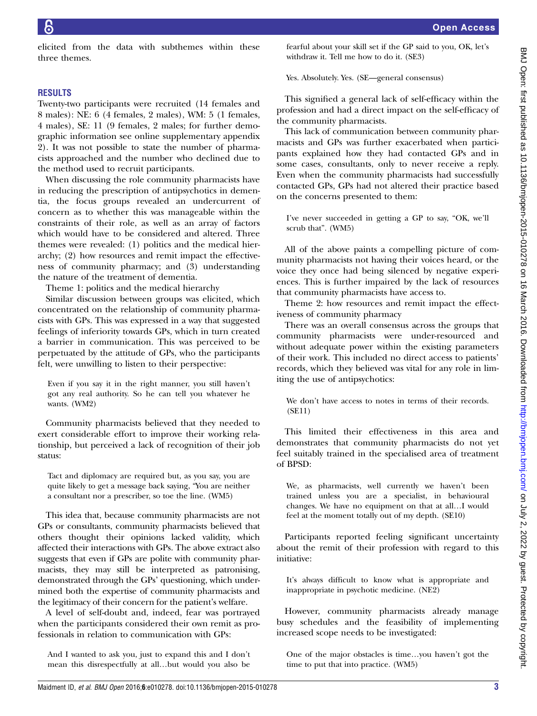elicited from the data with subthemes within these three themes.

#### RESULTS

Twenty-two participants were recruited (14 females and 8 males): NE: 6 (4 females, 2 males), WM: 5 (1 females, 4 males), SE: 11 (9 females, 2 males; for further demographic information see online supplementary appendix 2). It was not possible to state the number of pharmacists approached and the number who declined due to the method used to recruit participants.

When discussing the role community pharmacists have in reducing the prescription of antipsychotics in dementia, the focus groups revealed an undercurrent of concern as to whether this was manageable within the constraints of their role, as well as an array of factors which would have to be considered and altered. Three themes were revealed: (1) politics and the medical hierarchy; (2) how resources and remit impact the effectiveness of community pharmacy; and (3) understanding the nature of the treatment of dementia.

Theme 1: politics and the medical hierarchy

Similar discussion between groups was elicited, which concentrated on the relationship of community pharmacists with GPs. This was expressed in a way that suggested feelings of inferiority towards GPs, which in turn created a barrier in communication. This was perceived to be perpetuated by the attitude of GPs, who the participants felt, were unwilling to listen to their perspective:

Even if you say it in the right manner, you still haven't got any real authority. So he can tell you whatever he wants. (WM2)

Community pharmacists believed that they needed to exert considerable effort to improve their working relationship, but perceived a lack of recognition of their job status:

Tact and diplomacy are required but, as you say, you are quite likely to get a message back saying, "You are neither a consultant nor a prescriber, so toe the line. (WM5)

This idea that, because community pharmacists are not GPs or consultants, community pharmacists believed that others thought their opinions lacked validity, which affected their interactions with GPs. The above extract also suggests that even if GPs are polite with community pharmacists, they may still be interpreted as patronising, demonstrated through the GPs' questioning, which undermined both the expertise of community pharmacists and the legitimacy of their concern for the patient's welfare.

A level of self-doubt and, indeed, fear was portrayed when the participants considered their own remit as professionals in relation to communication with GPs:

And I wanted to ask you, just to expand this and I don't mean this disrespectfully at all…but would you also be

fearful about your skill set if the GP said to you, OK, let's withdraw it. Tell me how to do it. (SE3)

Yes. Absolutely. Yes. (SE—general consensus)

This signified a general lack of self-efficacy within the profession and had a direct impact on the self-efficacy of the community pharmacists.

This lack of communication between community pharmacists and GPs was further exacerbated when participants explained how they had contacted GPs and in some cases, consultants, only to never receive a reply. Even when the community pharmacists had successfully contacted GPs, GPs had not altered their practice based on the concerns presented to them:

I've never succeeded in getting a GP to say, "OK, we'll scrub that". (WM5)

All of the above paints a compelling picture of community pharmacists not having their voices heard, or the voice they once had being silenced by negative experiences. This is further impaired by the lack of resources that community pharmacists have access to.

Theme 2: how resources and remit impact the effectiveness of community pharmacy

There was an overall consensus across the groups that community pharmacists were under-resourced and without adequate power within the existing parameters of their work. This included no direct access to patients' records, which they believed was vital for any role in limiting the use of antipsychotics:

We don't have access to notes in terms of their records. (SE11)

This limited their effectiveness in this area and demonstrates that community pharmacists do not yet feel suitably trained in the specialised area of treatment of BPSD:

We, as pharmacists, well currently we haven't been trained unless you are a specialist, in behavioural changes. We have no equipment on that at all…I would feel at the moment totally out of my depth. (SE10)

Participants reported feeling significant uncertainty about the remit of their profession with regard to this initiative:

It's always difficult to know what is appropriate and inappropriate in psychotic medicine. (NE2)

However, community pharmacists already manage busy schedules and the feasibility of implementing increased scope needs to be investigated:

One of the major obstacles is time…you haven't got the time to put that into practice. (WM5)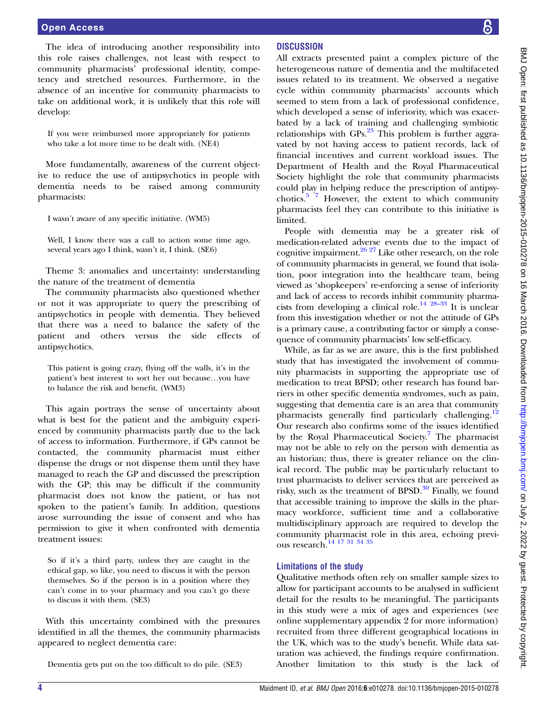The idea of introducing another responsibility into this role raises challenges, not least with respect to community pharmacists' professional identity, competency and stretched resources. Furthermore, in the absence of an incentive for community pharmacists to take on additional work, it is unlikely that this role will develop:

If you were reimbursed more appropriately for patients who take a lot more time to be dealt with. (NE4)

More fundamentally, awareness of the current objective to reduce the use of antipsychotics in people with dementia needs to be raised among community pharmacists:

I wasn't aware of any specific initiative. (WM5)

Well, I know there was a call to action some time ago, several years ago I think, wasn't it, I think. (SE6)

Theme 3: anomalies and uncertainty: understanding the nature of the treatment of dementia

The community pharmacists also questioned whether or not it was appropriate to query the prescribing of antipsychotics in people with dementia. They believed that there was a need to balance the safety of the patient and others versus the side effects of antipsychotics.

This patient is going crazy, flying off the walls, it's in the patient's best interest to sort her out because…you have to balance the risk and benefit. (WM3)

This again portrays the sense of uncertainty about what is best for the patient and the ambiguity experienced by community pharmacists partly due to the lack of access to information. Furthermore, if GPs cannot be contacted, the community pharmacist must either dispense the drugs or not dispense them until they have managed to reach the GP and discussed the prescription with the GP; this may be difficult if the community pharmacist does not know the patient, or has not spoken to the patient's family. In addition, questions arose surrounding the issue of consent and who has permission to give it when confronted with dementia treatment issues:

So if it's a third party, unless they are caught in the ethical gap, so like, you need to discuss it with the person themselves. So if the person is in a position where they can't come in to your pharmacy and you can't go there to discuss it with them. (SE3)

With this uncertainty combined with the pressures identified in all the themes, the community pharmacists appeared to neglect dementia care:

Dementia gets put on the too difficult to do pile. (SE3)

# **DISCUSSION**

All extracts presented paint a complex picture of the heterogeneous nature of dementia and the multifaceted issues related to its treatment. We observed a negative cycle within community pharmacists' accounts which seemed to stem from a lack of professional confidence, which developed a sense of inferiority, which was exacerbated by a lack of training and challenging symbiotic relationships with GPs.<sup>[25](#page-5-0)</sup> This problem is further aggravated by not having access to patient records, lack of financial incentives and current workload issues. The Department of Health and the Royal Pharmaceutical Society highlight the role that community pharmacists could play in helping reduce the prescription of antipsychotics. $5\frac{5}{7}$  $5\frac{5}{7}$  However, the extent to which community pharmacists feel they can contribute to this initiative is limited.

People with dementia may be a greater risk of medication-related adverse events due to the impact of cognitive impairment.<sup>26</sup> <sup>27</sup> Like other research, on the role of community pharmacists in general, we found that isolation, poor integration into the healthcare team, being viewed as 'shopkeepers' re-enforcing a sense of inferiority and lack of access to records inhibit community pharma-cists from developing a clinical role.<sup>[14 28](#page-5-0)–33</sup> It is unclear from this investigation whether or not the attitude of GPs is a primary cause, a contributing factor or simply a consequence of community pharmacists' low self-efficacy.

While, as far as we are aware, this is the first published study that has investigated the involvement of community pharmacists in supporting the appropriate use of medication to treat BPSD; other research has found barriers in other specific dementia syndromes, such as pain, suggesting that dementia care is an area that community pharmacists generally find particularly challenging.<sup>[12](#page-5-0)</sup> Our research also confirms some of the issues identified by the Royal Pharmaceutical Society.<sup>7</sup> The pharmacist may not be able to rely on the person with dementia as an historian; thus, there is greater reliance on the clinical record. The public may be particularly reluctant to trust pharmacists to deliver services that are perceived as risky, such as the treatment of  $BPSD<sup>30</sup>$  $BPSD<sup>30</sup>$  $BPSD<sup>30</sup>$  Finally, we found that accessible training to improve the skills in the pharmacy workforce, sufficient time and a collaborative multidisciplinary approach are required to develop the community pharmacist role in this area, echoing previous research.[14 17 31 34 35](#page-5-0)

# Limitations of the study

Qualitative methods often rely on smaller sample sizes to allow for participant accounts to be analysed in sufficient detail for the results to be meaningful. The participants in this study were a mix of ages and experiences (see online supplementary appendix 2 for more information) recruited from three different geographical locations in the UK, which was to the study's benefit. While data saturation was achieved, the findings require confirmation. Another limitation to this study is the lack of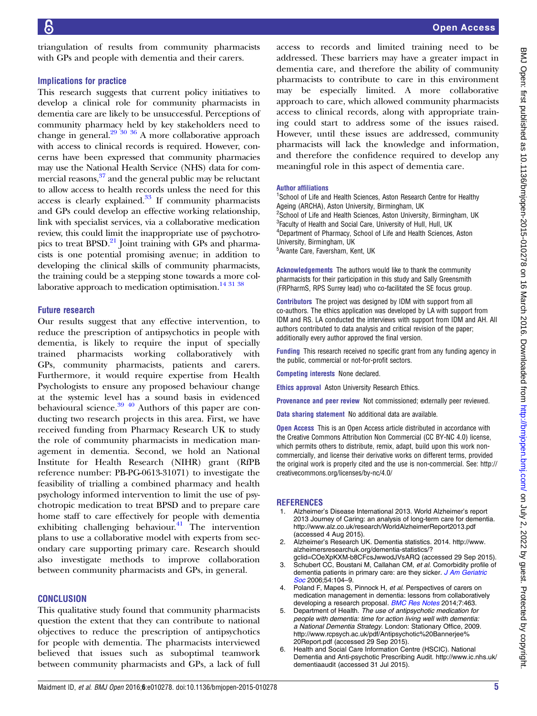<span id="page-4-0"></span>triangulation of results from community pharmacists with GPs and people with dementia and their carers.

#### Implications for practice

This research suggests that current policy initiatives to develop a clinical role for community pharmacists in dementia care are likely to be unsuccessful. Perceptions of community pharmacy held by key stakeholders need to change in general. $29\frac{30\frac{36}{36}}{A}$  more collaborative approach with access to clinical records is required. However, concerns have been expressed that community pharmacies may use the National Health Service (NHS) data for commercial reasons, $37$  and the general public may be reluctant to allow access to health records unless the need for this access is clearly explained. $33$  If community pharmacists and GPs could develop an effective working relationship, link with specialist services, via a collaborative medication review, this could limit the inappropriate use of psychotropics to treat BPSD.<sup>21</sup> Joint training with GPs and pharmacists is one potential promising avenue; in addition to developing the clinical skills of community pharmacists, the training could be a stepping stone towards a more collaborative approach to medication optimisation. $^{14}$  31 38

#### Future research

Our results suggest that any effective intervention, to reduce the prescription of antipsychotics in people with dementia, is likely to require the input of specially trained pharmacists working collaboratively with GPs, community pharmacists, patients and carers. Furthermore, it would require expertise from Health Psychologists to ensure any proposed behaviour change at the systemic level has a sound basis in evidenced behavioural science. $39\frac{40}{2}$  Authors of this paper are conducting two research projects in this area. First, we have received funding from Pharmacy Research UK to study the role of community pharmacists in medication management in dementia. Second, we hold an National Institute for Health Research (NIHR) grant (RfPB reference number: PB-PG-0613-31071) to investigate the feasibility of trialling a combined pharmacy and health psychology informed intervention to limit the use of psychotropic medication to treat BPSD and to prepare care home staff to care effectively for people with dementia exhibiting challenging behaviour. $41$  The intervention plans to use a collaborative model with experts from secondary care supporting primary care. Research should also investigate methods to improve collaboration between community pharmacists and GPs, in general.

# **CONCLUSION**

This qualitative study found that community pharmacists question the extent that they can contribute to national objectives to reduce the prescription of antipsychotics for people with dementia. The pharmacists interviewed believed that issues such as suboptimal teamwork between community pharmacists and GPs, a lack of full access to records and limited training need to be addressed. These barriers may have a greater impact in dementia care, and therefore the ability of community pharmacists to contribute to care in this environment may be especially limited. A more collaborative approach to care, which allowed community pharmacists access to clinical records, along with appropriate training could start to address some of the issues raised. However, until these issues are addressed, community pharmacists will lack the knowledge and information, and therefore the confidence required to develop any meaningful role in this aspect of dementia care.

#### Author affiliations

<sup>1</sup>School of Life and Health Sciences, Aston Research Centre for Healthy Ageing (ARCHA), Aston University, Birmingham, UK <sup>2</sup>School of Life and Health Sciences, Aston University, Birmingham, UK <sup>3</sup> Faculty of Health and Social Care, University of Hull, Hull, UK 4 Department of Pharmacy, School of Life and Health Sciences, Aston University, Birmingham, UK 5 Avante Care, Faversham, Kent, UK

Acknowledgements The authors would like to thank the community pharmacists for their participation in this study and Sally Greensmith (FRPharmS, RPS Surrey lead) who co-facilitated the SE focus group.

Contributors The project was designed by IDM with support from all co-authors. The ethics application was developed by LA with support from IDM and RS. LA conducted the interviews with support from IDM and AH. All authors contributed to data analysis and critical revision of the paper; additionally every author approved the final version.

Funding This research received no specific grant from any funding agency in the public, commercial or not-for-profit sectors.

Competing interests None declared.

Ethics approval Aston University Research Ethics.

Provenance and peer review Not commissioned; externally peer reviewed.

Data sharing statement No additional data are available.

**Open Access** This is an Open Access article distributed in accordance with the Creative Commons Attribution Non Commercial (CC BY-NC 4.0) license, which permits others to distribute, remix, adapt, build upon this work noncommercially, and license their derivative works on different terms, provided the original work is properly cited and the use is non-commercial. See: [http://](http://creativecommons.org/licenses/by-nc/4.0/) [creativecommons.org/licenses/by-nc/4.0/](http://creativecommons.org/licenses/by-nc/4.0/)

# **REFERENCES**

- Alzheimer's Disease International 2013. World Alzheimer's report 2013 Journey of Caring: an analysis of long-term care for dementia. <http://www.alz.co.uk/research/WorldAlzheimerReport2013.pdf> (accessed 4 Aug 2015).
- 2. Alzheimer's Research UK. Dementia statistics. 2014. [http://www.](http://www.alzheimersresearchuk.org/dementia-statistics/?gclid=COeXpKXM-b8CFcsJwwodJVsARQ) [alzheimersresearchuk.org/dementia-statistics/?](http://www.alzheimersresearchuk.org/dementia-statistics/?gclid=COeXpKXM-b8CFcsJwwodJVsARQ)
- [gclid=COeXpKXM-b8CFcsJwwodJVsARQ](http://www.alzheimersresearchuk.org/dementia-statistics/?gclid=COeXpKXM-b8CFcsJwwodJVsARQ) (accessed 29 Sep 2015). 3. Schubert CC, Boustani M, Callahan CM, et al. Comorbidity profile of dementia patients in primary care: are they sicker. [J Am Geriatric](http://dx.doi.org/10.1111/j.1532-5415.2005.00543.x) [Soc](http://dx.doi.org/10.1111/j.1532-5415.2005.00543.x) 2006;54:104–9.
- 4. Poland F, Mapes S, Pinnock H, et al. Perspectives of carers on medication management in dementia: lessons from collaboratively developing a research proposal. [BMC Res Notes](http://dx.doi.org/10.1186/1756-0500-7-463) 2014;7:463.
- 5. Department of Health. The use of antipsychotic medication for people with dementia: time for action living well with dementia: a National Dementia Strategy. London: Stationary Office, 2009. [http://www.rcpsych.ac.uk/pdf/Antipsychotic%20Bannerjee%](http://www.rcpsych.ac.uk/pdf/Antipsychotic%20Bannerjee%20Report.pdf) [20Report.pdf](http://www.rcpsych.ac.uk/pdf/Antipsychotic%20Bannerjee%20Report.pdf) (accessed 29 Sep 2015).
- 6. Health and Social Care Information Centre (HSCIC). National Dementia and Anti-psychotic Prescribing Audit. [http://www.ic.nhs.uk/](http://www.ic.nhs.uk/dementiaaudit) [dementiaaudit](http://www.ic.nhs.uk/dementiaaudit) (accessed 31 Jul 2015).